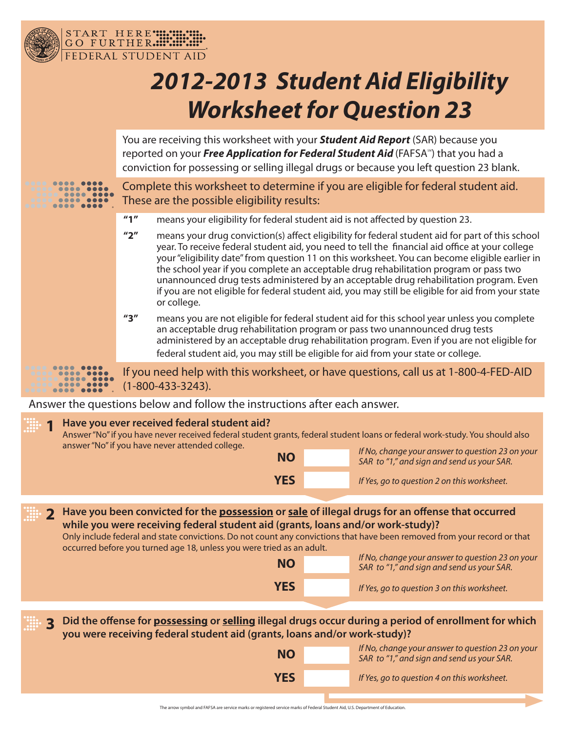

DERAL STUDENT AID

START HERE" HILL

®

 $\bullet\bullet\bullet$ 

## *2012-2013 Student Aid Eligibility Worksheet for Question 23*

You are receiving this worksheet with your *Student Aid Report* (SAR) because you reported on your *Free Application for Federal Student Aid* (FAFSA<sup>\*\*</sup>) that you had a conviction for possessing or selling illegal drugs or because you left question 23 blank.

Complete this worksheet to determine if you are eligible for federal student aid. These are the possible eligibility results:

- **"1"** means your eligibility for federal student aid is not affected by question 23.
- **"2"** means your drug conviction(s) affect eligibility for federal student aid for part of this school year. To receive federal student aid, you need to tell the financial aid office at your college your "eligibility date" from question 11 on this worksheet. You can become eligible earlier in the school year if you complete an acceptable drug rehabilitation program or pass two unannounced drug tests administered by an acceptable drug rehabilitation program. Even if you are not eligible for federal student aid, you may still be eligible for aid from your state or college.
- **"3"** means you are not eligible for federal student aid for this school year unless you complete an acceptable drug rehabilitation program or pass two unannounced drug tests administered by an acceptable drug rehabilitation program. Even if you are not eligible for federal student aid, you may still be eligible for aid from your state or college.

If you need help with this worksheet, or have questions, call us at 1-800-4-FED-AID  $(1 - 800 - 433 - 3243)$ .

Answer the questions below and follow the instructions after each answer.

|                                                                                                                                                                                                    | Have you ever received federal student aid?<br>answer "No" if you have never attended college.                                                                                                                                                                                                                                                                                                  | Answer "No" if you have never received federal student grants, federal student loans or federal work-study. You should also |                                                                                                |  |  |  |  |  |
|----------------------------------------------------------------------------------------------------------------------------------------------------------------------------------------------------|-------------------------------------------------------------------------------------------------------------------------------------------------------------------------------------------------------------------------------------------------------------------------------------------------------------------------------------------------------------------------------------------------|-----------------------------------------------------------------------------------------------------------------------------|------------------------------------------------------------------------------------------------|--|--|--|--|--|
|                                                                                                                                                                                                    | <b>NO</b>                                                                                                                                                                                                                                                                                                                                                                                       |                                                                                                                             | If No, change your answer to question 23 on your<br>SAR to "1," and sign and send us your SAR. |  |  |  |  |  |
|                                                                                                                                                                                                    | <b>YES</b>                                                                                                                                                                                                                                                                                                                                                                                      |                                                                                                                             | If Yes, go to question 2 on this worksheet.                                                    |  |  |  |  |  |
|                                                                                                                                                                                                    |                                                                                                                                                                                                                                                                                                                                                                                                 |                                                                                                                             |                                                                                                |  |  |  |  |  |
|                                                                                                                                                                                                    | Have you been convicted for the <b>possession</b> or sale of illegal drugs for an offense that occurred<br>while you were receiving federal student aid (grants, loans and/or work-study)?<br>Only include federal and state convictions. Do not count any convictions that have been removed from your record or that<br>occurred before you turned age 18, unless you were tried as an adult. |                                                                                                                             |                                                                                                |  |  |  |  |  |
|                                                                                                                                                                                                    | <b>NO</b>                                                                                                                                                                                                                                                                                                                                                                                       |                                                                                                                             | If No, change your answer to question 23 on your<br>SAR to "1," and sign and send us your SAR. |  |  |  |  |  |
|                                                                                                                                                                                                    | <b>YES</b>                                                                                                                                                                                                                                                                                                                                                                                      |                                                                                                                             | If Yes, go to question 3 on this worksheet.                                                    |  |  |  |  |  |
|                                                                                                                                                                                                    |                                                                                                                                                                                                                                                                                                                                                                                                 |                                                                                                                             |                                                                                                |  |  |  |  |  |
| Did the offense for possessing or selling illegal drugs occur during a period of enrollment for which<br>$\mathbf{R}$<br>you were receiving federal student aid (grants, loans and/or work-study)? |                                                                                                                                                                                                                                                                                                                                                                                                 |                                                                                                                             |                                                                                                |  |  |  |  |  |
|                                                                                                                                                                                                    | <b>NO</b>                                                                                                                                                                                                                                                                                                                                                                                       |                                                                                                                             | If No, change your answer to question 23 on your<br>SAR to "1," and sign and send us your SAR. |  |  |  |  |  |
|                                                                                                                                                                                                    | <b>YES</b>                                                                                                                                                                                                                                                                                                                                                                                      |                                                                                                                             | If Yes, go to question 4 on this worksheet.                                                    |  |  |  |  |  |